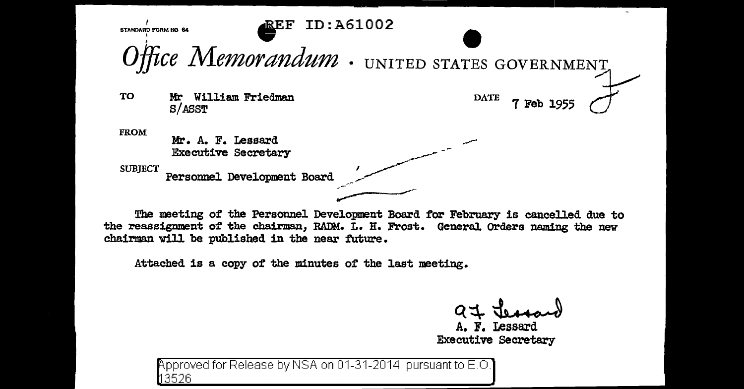**BTANDARD FORM NO 64** • ID:A61002 *Office Memorandum* · UNITED STATES GOVERNMENT TO Mr William Friedman<br>S/ASST<br>S<sup>of</sup> S/ASST FROM Mr William Friedman S/ASST Mr. A. F. Lessard Executive Secretary SUBJECT<br> **Personnel Development Board** ~-

The meeting of the Personnel Development Board for February is cancelled due to the reassignment of the chairman, RADM. L. H. Frost. General Orders naming the new chairman will be published in the near future.

Attached is a. capy of the minutes *ot* the last meeting.

A. F. Lessard Executive secretary

pproved for Release by NSA on 01-31-2014 pursuant to E.O. 3526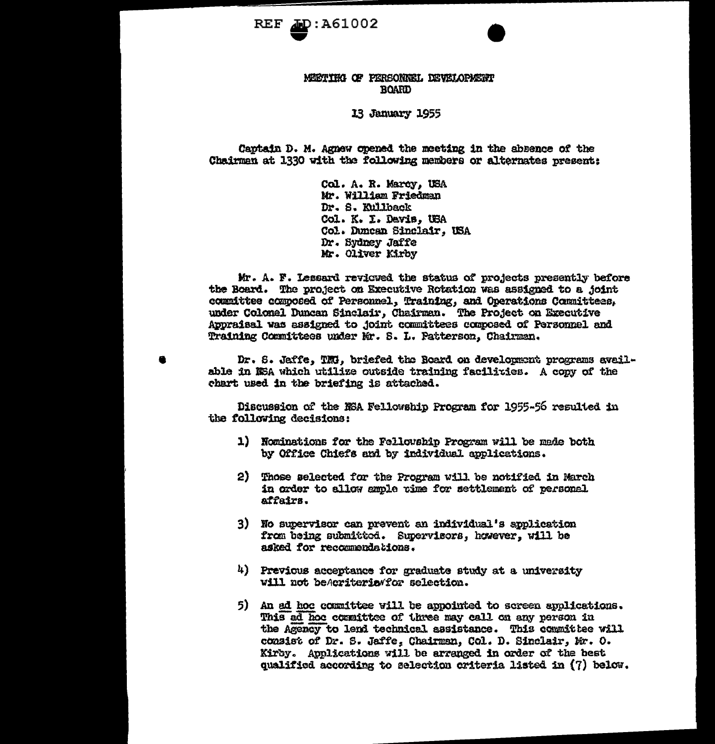

## MEETING OF PERSONNEL DEVELOPMENT **BOARD**

13 January 1955

Captain D. M. Agnew opened the moeting in the absence of the Chairman at 1330 with the following members or alternates present:

> Col. A. R. Marcy, USA Mr. William Friedman Dr. S. Kullback Col. K. I. Davis, USA Col. Duncan Sinclair, USA Dr. Sydney Jaffe Mr. Oliver Kirby

Mr. A. F. Lessard reviewed the status of projects presently before the Board. The project on Executive Rotation was assigned to a joint committee composed of Personnel, Training, and Operations Committees, under Colomel Duncan Sinclair, Chairman. The Project on Executive Appraisal was assigned to joint committees composed of Personnel and Training Committees under Mr. S. L. Patterson, Chairman.

Dr. S. Jaffe, TMJ. briefed the Board on development programs available in NSA which utilize outside training facilities. A copy of the chart used in the briefing is attached.

Discussion of the NSA Fellowship Program for 1955-56 resulted in the following decisions:

- 1) Nominations for the Fellouship Program will be made both by Office Chiefs and by individual applications.
- 2) Those selected for the Program will be notified in March in order to allow ample time for settlement of personal affairs.
- 3) No supervisor can prevent an individual's application from being submitted. Supervisors, however, will be asked for recommendations.
- 4) Previous acceptance for graduate study at a university will not beAcriteria/for selection.
- 5) An ad hoc committee will be appointed to screen applications. This ad hoc countitee of three may call on any person in the Agency to lend technical assistance. This committee will consist of Dr. S. Jaffe, Chairman, Col. D. Sinclair, Mr. O. Kirby. Applications will be arranged in order of the best qualified according to selection criteria listed in (7) below.